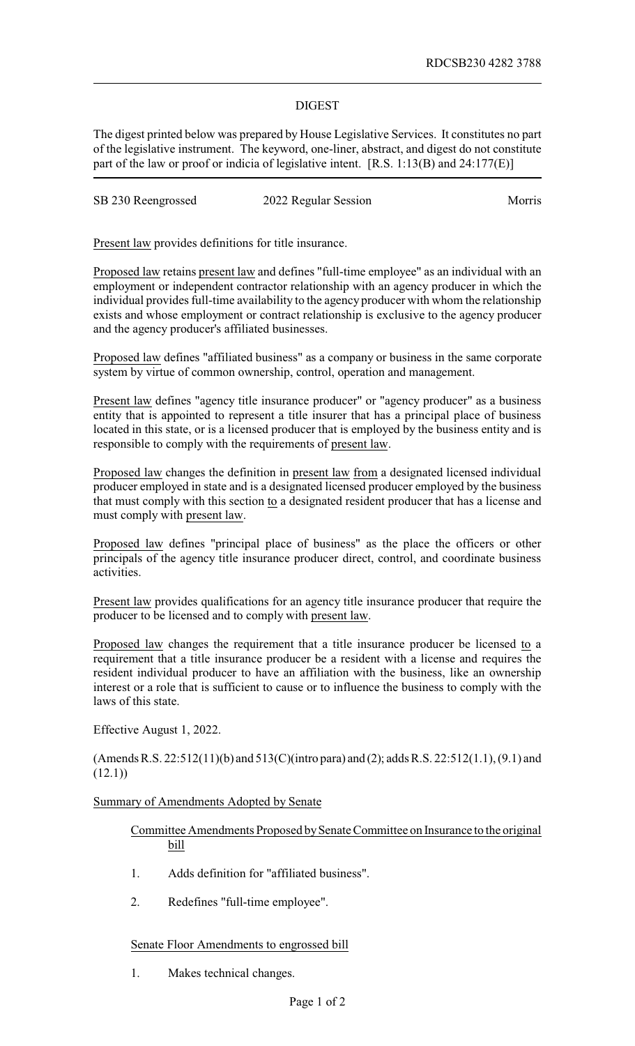## DIGEST

The digest printed below was prepared by House Legislative Services. It constitutes no part of the legislative instrument. The keyword, one-liner, abstract, and digest do not constitute part of the law or proof or indicia of legislative intent. [R.S. 1:13(B) and 24:177(E)]

|  | SB 230 Reengrossed | 2022 Regular Session | <b>Morris</b> |
|--|--------------------|----------------------|---------------|
|--|--------------------|----------------------|---------------|

Present law provides definitions for title insurance.

Proposed law retains present law and defines "full-time employee" as an individual with an employment or independent contractor relationship with an agency producer in which the individual provides full-time availability to the agency producer with whom the relationship exists and whose employment or contract relationship is exclusive to the agency producer and the agency producer's affiliated businesses.

Proposed law defines "affiliated business" as a company or business in the same corporate system by virtue of common ownership, control, operation and management.

Present law defines "agency title insurance producer" or "agency producer" as a business entity that is appointed to represent a title insurer that has a principal place of business located in this state, or is a licensed producer that is employed by the business entity and is responsible to comply with the requirements of present law.

Proposed law changes the definition in present law from a designated licensed individual producer employed in state and is a designated licensed producer employed by the business that must comply with this section to a designated resident producer that has a license and must comply with present law.

Proposed law defines "principal place of business" as the place the officers or other principals of the agency title insurance producer direct, control, and coordinate business activities.

Present law provides qualifications for an agency title insurance producer that require the producer to be licensed and to comply with present law.

Proposed law changes the requirement that a title insurance producer be licensed to a requirement that a title insurance producer be a resident with a license and requires the resident individual producer to have an affiliation with the business, like an ownership interest or a role that is sufficient to cause or to influence the business to comply with the laws of this state.

Effective August 1, 2022.

(Amends R.S. 22:512(11)(b) and 513(C)(intro para) and (2); adds R.S. 22:512(1.1), (9.1) and  $(12.1)$ 

## Summary of Amendments Adopted by Senate

## Committee Amendments Proposed by Senate Committee on Insurance to the original bill

- 1. Adds definition for "affiliated business".
- 2. Redefines "full-time employee".

## Senate Floor Amendments to engrossed bill

1. Makes technical changes.